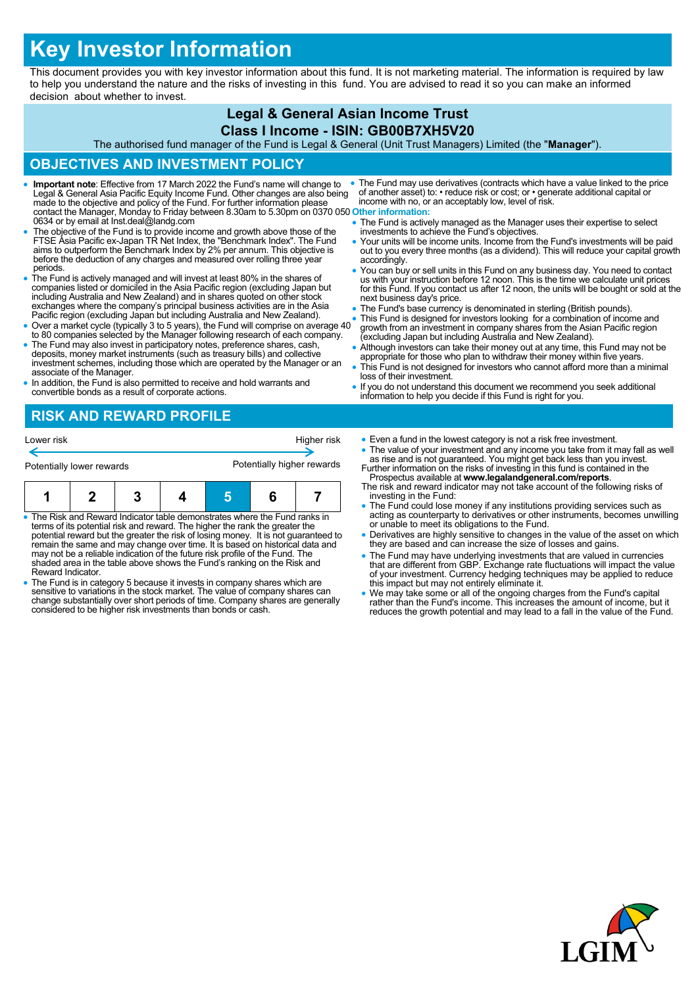# **Key Investor Information**

This document provides you with key investor information about this fund. It is not marketing material. The information is required by law to help you understand the nature and the risks of investing in this fund. You are advised to read it so you can make an informed decision about whether to invest.

### **Legal & General Asian Income Trust Class I Income - ISIN: GB00B7XH5V20**

The authorised fund manager of the Fund is Legal & General (Unit Trust Managers) Limited (the "**Manager**").

## **OBJECTIVES AND INVESTMENT POLICY**

- **Important note**: Effective from 17 March 2022 the Fund's name will change to Legal & General Asia Pacific Equity Income Fund. Other changes are also being made to the objective and policy of the Fund. For further information please contact the Manager, Monday to Friday between 8.30am to 5.30pm on 0370 050 0634 or by email at Inst.deal@landg.com **Other information:** The Fund may use derivatives (contracts which have a value linked to the price of another asset) to: • reduce risk or cost; or • generate additional capital or income with no, or an acceptably low, level of risk. The Fund is actively managed as the Manager uses their expertise to select
- The objective of the Fund is to provide income and growth above those of the FTSE Asia Pacific ex-Japan TR Net Index, the "Benchmark Index". The Fund aims to outperform the Benchmark Index by 2% per annum. This objective is before the deduction of any charges and measured over rolling three year periods.
- The Fund is actively managed and will invest at least 80% in the shares of companies listed or domiciled in the Asia Pacific region (excluding Japan but including Australia and New Zealand) and in shares quoted on other stock exchanges where the company's principal business activities are in the Asia Pacific region (excluding Japan but including Australia and New Zealand).
- Over a market cycle (typically 3 to 5 years), the Fund will comprise on average 40 to 80 companies selected by the Manager following research of each company.
- The Fund may also invest in participatory notes, preference shares, cash, deposits, money market instruments (such as treasury bills) and collective investment schemes, including those which are operated by the Manager or an associate of the Manager.
- In addition, the Fund is also permitted to receive and hold warrants and convertible bonds as a result of corporate actions.
- investments to achieve the Fund's objectives. Your units will be income units. Income from the Fund's investments will be paid
- out to you every three months (as a dividend). This will reduce your capital growth accordingly.
- You can buy or sell units in this Fund on any business day. You need to contact us with your instruction before 12 noon. This is the time we calculate unit prices for this Fund. If you contact us after 12 noon, the units will be bought or sold at the next business day's price.
- The Fund's base currency is denominated in sterling (British pounds).
- This Fund is designed for investors looking for a combination of income and growth from an investment in company shares from the Asian Pacific region (excluding Japan but including Australia and New Zealand).
- Although investors can take their money out at any time, this Fund may not be appropriate for those who plan to withdraw their money within five years.
- This Fund is not designed for investors who cannot afford more than a minimal loss of their investment.
- If you do not understand this document we recommend you seek additional information to help you decide if this Fund is right for you.

# **RISK AND REWARD PROFILE**

| Potentially lower rewards |  |  | Potentially higher rewards |  |
|---------------------------|--|--|----------------------------|--|
|                           |  |  |                            |  |

- The Risk and Reward Indicator table demonstrates where the Fund ranks in terms of its potential risk and reward. The higher the rank the greater the potential reward but the greater the risk of losing money. It is not guaranteed to<br>remain the same and may change over time. It is based on historical data and<br>may not be a reliable indication of the future risk profile of shaded area in the table above shows the Fund's ranking on the Risk and Reward Indicator.
- The Fund is in category 5 because it invests in company shares which are sensitive to variations in the stock market. The value of company shares can change substantially over short periods of time. Company shares are generally considered to be higher risk investments than bonds or cash.
- Even a fund in the lowest category is not a risk free investment.
- The value of your investment and any income you take from it may fall as well as rise and is not guaranteed. You might get back less than you invest.<br>Further information on the risks of investing in this fund is contained in the<br>Prospectus available at www.legalandgeneral.com/reports.<br>The risk and r
- investing in the Fund:
- The Fund could lose money if any institutions providing services such as acting as counterparty to derivatives or other instruments, becomes unwilling or unable to meet its obligations to the Fund.
- Derivatives are highly sensitive to changes in the value of the asset on which they are based and can increase the size of losses and gains.
- The Fund may have underlying investments that are valued in currencies that are different from GBP. Exchange rate fluctuations will impact the value of your investment. Currency hedging techniques may be applied to reduce this impact but may not entirely eliminate it.
- We may take some or all of the ongoing charges from the Fund's capital rather than the Fund's income. This increases the amount of income, but it reduces the growth potential and may lead to a fall in the value of the Fund.